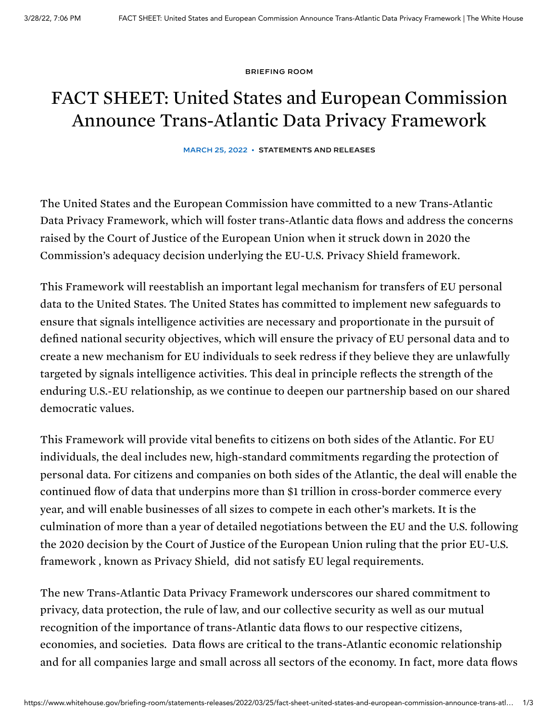[BRIEFING](https://www.whitehouse.gov/briefing-room/) ROOM

## FACT SHEET: United States and European Commission Announce Trans-Atlantic Data Privacy Framework

MARCH 25, 2022 • [STATEMENTS](https://www.whitehouse.gov/briefing-room/statements-releases/) AND RELEASES

The United States and the European Commission have committed to a new Trans-Atlantic Data Privacy Framework, which will foster trans-Atlantic data flows and address the concerns raised by the Court of Justice of the European Union when it struck down in 2020 the Commission's adequacy decision underlying the EU-U.S. Privacy Shield framework.

This Framework will reestablish an important legal mechanism for transfers of EU personal data to the United States. The United States has committed to implement new safeguards to ensure that signals intelligence activities are necessary and proportionate in the pursuit of defined national security objectives, which will ensure the privacy of EU personal data and to create a new mechanism for EU individuals to seek redress if they believe they are unlawfully targeted by signals intelligence activities. This deal in principle reflects the strength of the enduring U.S.-EU relationship, as we continue to deepen our partnership based on our shared democratic values.

This Framework will provide vital benefits to citizens on both sides of the Atlantic. For EU individuals, the deal includes new, high-standard commitments regarding the protection of personal data. For citizens and companies on both sides of the Atlantic, the deal will enable the continued flow of data that underpins more than \$1 trillion in cross-border commerce every year, and will enable businesses of all sizes to compete in each other's markets. It is the culmination of more than a year of detailed negotiations between the EU and the U.S. following the 2020 decision by the Court of Justice of the European Union ruling that the prior EU-U.S. framework , known as Privacy Shield, did not satisfy EU legal requirements.

The new Trans-Atlantic Data Privacy Framework underscores our shared commitment to privacy, data protection, the rule of law, and our collective security as well as our mutual recognition of the importance of trans-Atlantic data flows to our respective citizens, economies, and societies. Data flows are critical to the trans-Atlantic economic relationship and for all companies large and small across all sectors of the economy. In fact, more data flows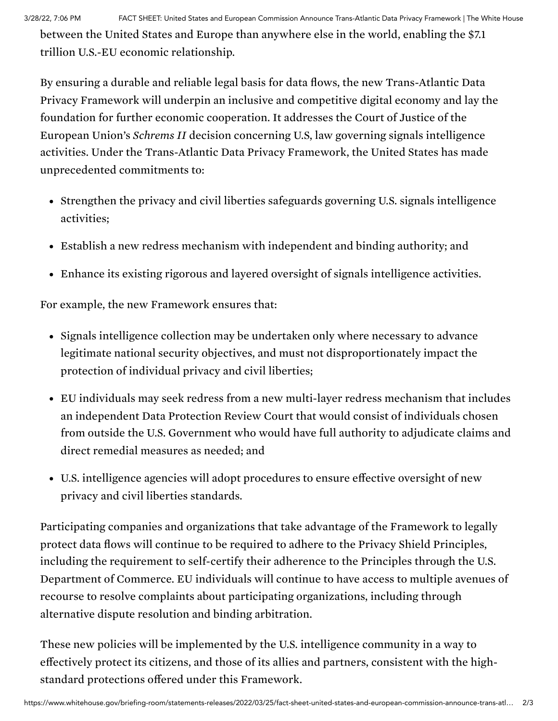3/28/22, 7:06 PM FACT SHEET: United States and European Commission Announce Trans-Atlantic Data Privacy Framework | The White House

between the United States and Europe than anywhere else in the world, enabling the \$7.1 trillion U.S.-EU economic relationship.

By ensuring a durable and reliable legal basis for data flows, the new Trans-Atlantic Data Privacy Framework will underpin an inclusive and competitive digital economy and lay the foundation for further economic cooperation. It addresses the Court of Justice of the European Union's *Schrems II* decision concerning U.S, law governing signals intelligence activities. Under the Trans-Atlantic Data Privacy Framework, the United States has made unprecedented commitments to:

- Strengthen the privacy and civil liberties safeguards governing U.S. signals intelligence activities;
- Establish a new redress mechanism with independent and binding authority; and
- Enhance its existing rigorous and layered oversight of signals intelligence activities.

For example, the new Framework ensures that:

- Signals intelligence collection may be undertaken only where necessary to advance legitimate national security objectives, and must not disproportionately impact the protection of individual privacy and civil liberties;
- EU individuals may seek redress from a new multi-layer redress mechanism that includes an independent Data Protection Review Court that would consist of individuals chosen from outside the U.S. Government who would have full authority to adjudicate claims and direct remedial measures as needed; and
- U.S. intelligence agencies will adopt procedures to ensure effective oversight of new privacy and civil liberties standards.

Participating companies and organizations that take advantage of the Framework to legally protect data flows will continue to be required to adhere to the Privacy Shield Principles, including the requirement to self-certify their adherence to the Principles through the U.S. Department of Commerce. EU individuals will continue to have access to multiple avenues of recourse to resolve complaints about participating organizations, including through alternative dispute resolution and binding arbitration.

These new policies will be implemented by the U.S. intelligence community in a way to effectively protect its citizens, and those of its allies and partners, consistent with the highstandard protections offered under this Framework.